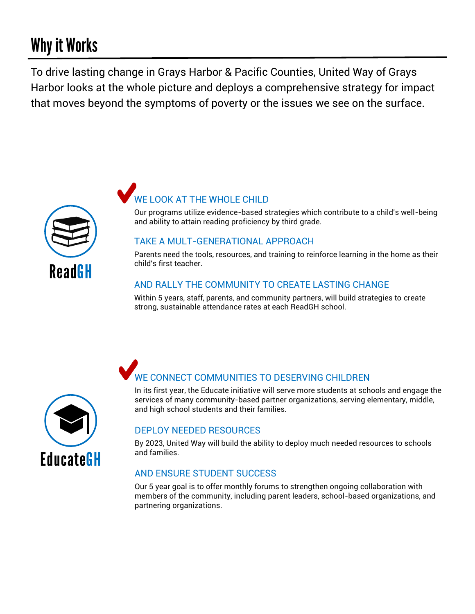# **Why it Works**

To drive lasting change in Grays Harbor & Pacific Counties, United Way of Grays Harbor looks at the whole picture and deploys a comprehensive strategy for impact that moves beyond the symptoms of poverty or the issues we see on the surface.



# WE LOOK AT THE WHOLE CHILD

Our programs utilize evidence-based strategies which contribute to a child's well-being and ability to attain reading proficiency by third grade.

#### TAKE A MULT-GENERATIONAL APPROACH

Parents need the tools, resources, and training to reinforce learning in the home as their child's first teacher.

# AND RALLY THE COMMUNITY TO CREATE LASTING CHANGE

Within 5 years, staff, parents, and community partners, will build strategies to create strong, sustainable attendance rates at each ReadGH school.



# WE CONNECT COMMUNITIES TO DESERVING CHILDREN

In its first year, the Educate initiative will serve more students at schools and engage the services of many community-based partner organizations, serving elementary, middle, and high school students and their families.

#### DEPLOY NEEDED RESOURCES

By 2023, United Way will build the ability to deploy much needed resources to schools and families.

# AND ENSURE STUDENT SUCCESS

Our 5 year goal is to offer monthly forums to strengthen ongoing collaboration with members of the community, including parent leaders, school-based organizations, and partnering organizations.